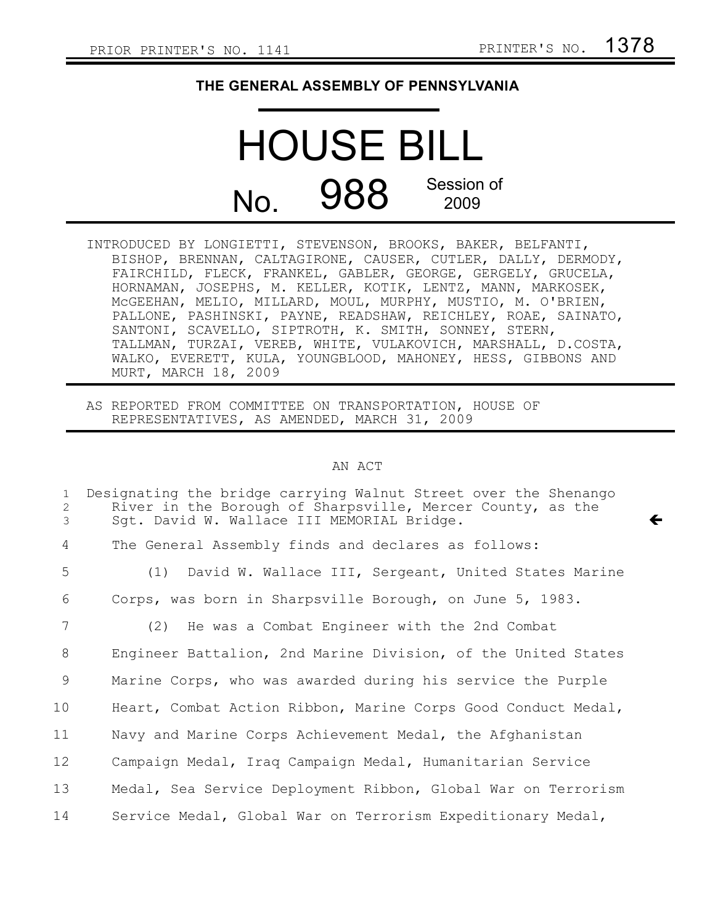$\leftarrow$ 

## **THE GENERAL ASSEMBLY OF PENNSYLVANIA**

## HOUSE BILL No. 988 Session of 2009

INTRODUCED BY LONGIETTI, STEVENSON, BROOKS, BAKER, BELFANTI, BISHOP, BRENNAN, CALTAGIRONE, CAUSER, CUTLER, DALLY, DERMODY, FAIRCHILD, FLECK, FRANKEL, GABLER, GEORGE, GERGELY, GRUCELA, HORNAMAN, JOSEPHS, M. KELLER, KOTIK, LENTZ, MANN, MARKOSEK, McGEEHAN, MELIO, MILLARD, MOUL, MURPHY, MUSTIO, M. O'BRIEN, PALLONE, PASHINSKI, PAYNE, READSHAW, REICHLEY, ROAE, SAINATO, SANTONI, SCAVELLO, SIPTROTH, K. SMITH, SONNEY, STERN, TALLMAN, TURZAI, VEREB, WHITE, VULAKOVICH, MARSHALL, D.COSTA, WALKO, EVERETT, KULA, YOUNGBLOOD, MAHONEY, HESS, GIBBONS AND MURT, MARCH 18, 2009

AS REPORTED FROM COMMITTEE ON TRANSPORTATION, HOUSE OF REPRESENTATIVES, AS AMENDED, MARCH 31, 2009

## AN ACT

| $\mathbf{1}$<br>2<br>3 | Designating the bridge carrying Walnut Street over the Shenango<br>River in the Borough of Sharpsville, Mercer County, as the<br>Sqt. David W. Wallace III MEMORIAL Bridge. |
|------------------------|-----------------------------------------------------------------------------------------------------------------------------------------------------------------------------|
| 4                      | The General Assembly finds and declares as follows:                                                                                                                         |
| 5                      | (1) David W. Wallace III, Sergeant, United States Marine                                                                                                                    |
| 6                      | Corps, was born in Sharpsville Borough, on June 5, 1983.                                                                                                                    |
| 7                      | (2) He was a Combat Engineer with the 2nd Combat                                                                                                                            |
| 8                      | Engineer Battalion, 2nd Marine Division, of the United States                                                                                                               |
| 9                      | Marine Corps, who was awarded during his service the Purple                                                                                                                 |
| 10                     | Heart, Combat Action Ribbon, Marine Corps Good Conduct Medal,                                                                                                               |
| 11                     | Navy and Marine Corps Achievement Medal, the Afghanistan                                                                                                                    |
| 12                     | Campaign Medal, Iraq Campaign Medal, Humanitarian Service                                                                                                                   |
| 13                     | Medal, Sea Service Deployment Ribbon, Global War on Terrorism                                                                                                               |
| 14                     | Service Medal, Global War on Terrorism Expeditionary Medal,                                                                                                                 |